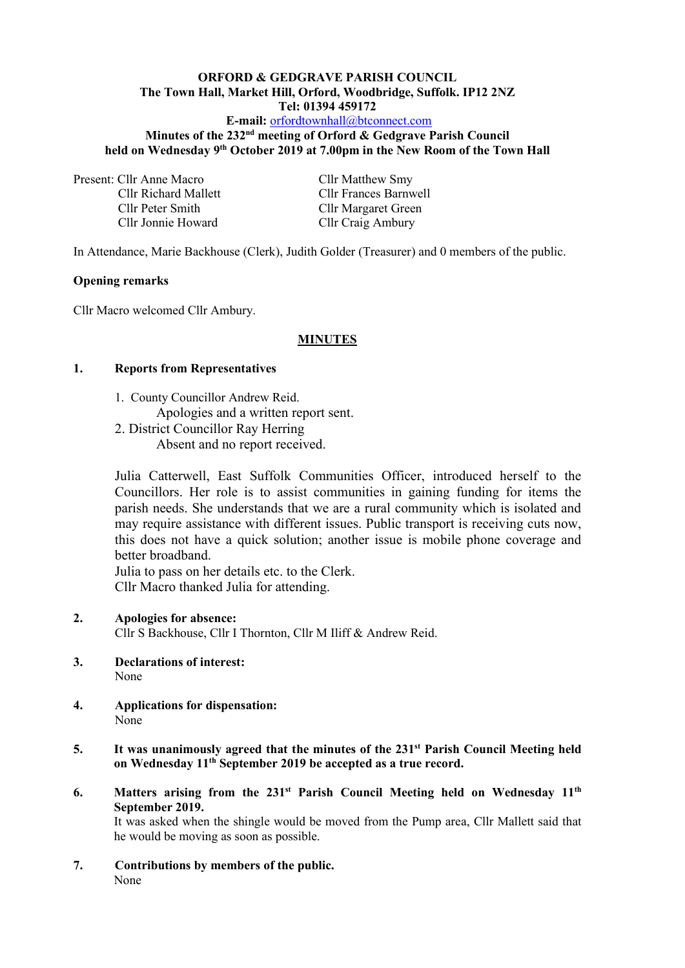### **ORFORD & GEDGRAVE PARISH COUNCIL The Town Hall, Market Hill, Orford, Woodbridge, Suffolk. IP12 2NZ Tel: 01394 459172 E-mail:** [orfordtownhall@btconnect.com](mailto:orfordtownhall@btconnect.com) Minutes of the 232<sup>nd</sup> meeting of Orford & Gedgrave Parish Council

**held on Wednesday 9 th October 2019 at 7.00pm in the New Room of the Town Hall**

Present: Cllr Anne Macro Cllr Matthew Smy Cllr Peter Smith Cllr Margaret Green Cllr Jonnie Howard Cllr Craig Ambury

Cllr Richard Mallett Cllr Frances Barnwell

In Attendance, Marie Backhouse (Clerk), Judith Golder (Treasurer) and 0 members of the public.

#### **Opening remarks**

Cllr Macro welcomed Cllr Ambury.

#### **MINUTES**

#### **1. Reports from Representatives**

- 1. County Councillor Andrew Reid. Apologies and a written report sent.
- 2. District Councillor Ray Herring Absent and no report received.

Julia Catterwell, East Suffolk Communities Officer, introduced herself to the Councillors. Her role is to assist communities in gaining funding for items the parish needs. She understands that we are a rural community which is isolated and may require assistance with different issues. Public transport is receiving cuts now, this does not have a quick solution; another issue is mobile phone coverage and better broadband.

Julia to pass on her details etc. to the Clerk. Cllr Macro thanked Julia for attending.

#### **2. Apologies for absence:**

Cllr S Backhouse, Cllr I Thornton, Cllr M Iliff & Andrew Reid.

- **3. Declarations of interest:** None
- **4. Applications for dispensation:** None
- **5. It was unanimously agreed that the minutes of the 231 st Parish Council Meeting held on Wednesday 11 th September 2019 be accepted as a true record.**
- 6. Matters arising from the 231<sup>st</sup> Parish Council Meeting held on Wednesday 11<sup>th</sup> **September 2019.**

It was asked when the shingle would be moved from the Pump area, Cllr Mallett said that he would be moving as soon as possible.

**7. Contributions by members of the public.** None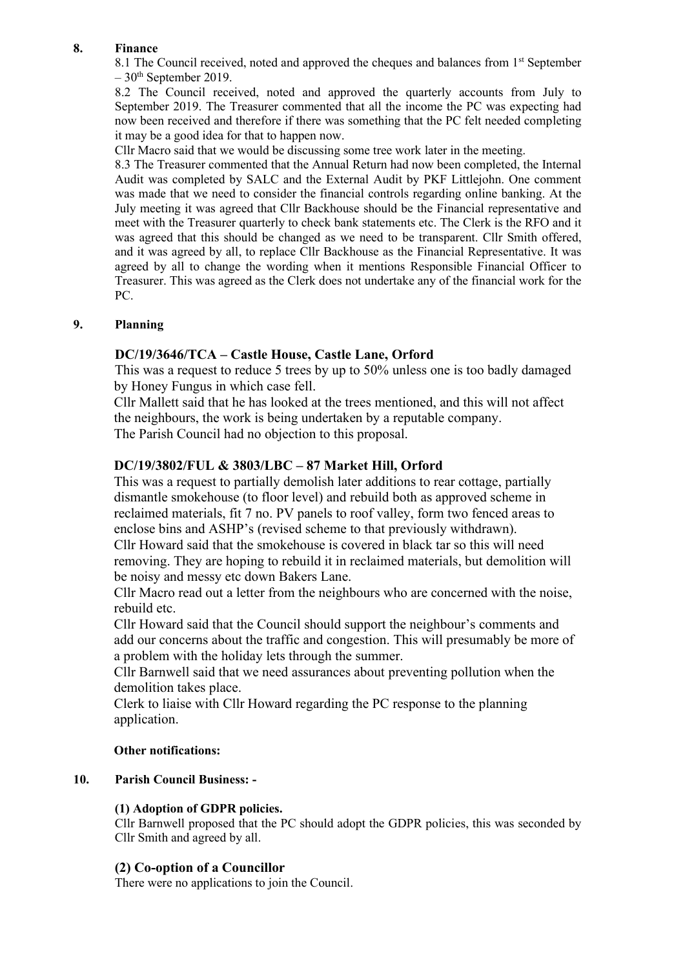# **8. Finance**

8.1 The Council received, noted and approved the cheques and balances from 1<sup>st</sup> September  $-30<sup>th</sup>$  September 2019.

8.2 The Council received, noted and approved the quarterly accounts from July to September 2019. The Treasurer commented that all the income the PC was expecting had now been received and therefore if there was something that the PC felt needed completing it may be a good idea for that to happen now.

Cllr Macro said that we would be discussing some tree work later in the meeting.

8.3 The Treasurer commented that the Annual Return had now been completed, the Internal Audit was completed by SALC and the External Audit by PKF Littlejohn. One comment was made that we need to consider the financial controls regarding online banking. At the July meeting it was agreed that Cllr Backhouse should be the Financial representative and meet with the Treasurer quarterly to check bank statements etc. The Clerk is the RFO and it was agreed that this should be changed as we need to be transparent. Cllr Smith offered, and it was agreed by all, to replace Cllr Backhouse as the Financial Representative. It was agreed by all to change the wording when it mentions Responsible Financial Officer to Treasurer. This was agreed as the Clerk does not undertake any of the financial work for the PC.

# **9. Planning**

# **DC/19/3646/TCA – Castle House, Castle Lane, Orford**

This was a request to reduce 5 trees by up to 50% unless one is too badly damaged by Honey Fungus in which case fell.

Cllr Mallett said that he has looked at the trees mentioned, and this will not affect the neighbours, the work is being undertaken by a reputable company. The Parish Council had no objection to this proposal.

# **DC/19/3802/FUL & 3803/LBC – 87 Market Hill, Orford**

This was a request to partially demolish later additions to rear cottage, partially dismantle smokehouse (to floor level) and rebuild both as approved scheme in reclaimed materials, fit 7 no. PV panels to roof valley, form two fenced areas to enclose bins and ASHP's (revised scheme to that previously withdrawn).

Cllr Howard said that the smokehouse is covered in black tar so this will need removing. They are hoping to rebuild it in reclaimed materials, but demolition will be noisy and messy etc down Bakers Lane.

Cllr Macro read out a letter from the neighbours who are concerned with the noise, rebuild etc.

Cllr Howard said that the Council should support the neighbour's comments and add our concerns about the traffic and congestion. This will presumably be more of a problem with the holiday lets through the summer.

Cllr Barnwell said that we need assurances about preventing pollution when the demolition takes place.

Clerk to liaise with Cllr Howard regarding the PC response to the planning application.

### **Other notifications:**

### **10. Parish Council Business: -**

### **(1) Adoption of GDPR policies.**

Cllr Barnwell proposed that the PC should adopt the GDPR policies, this was seconded by Cllr Smith and agreed by all.

### **(2) Co-option of a Councillor**

There were no applications to join the Council.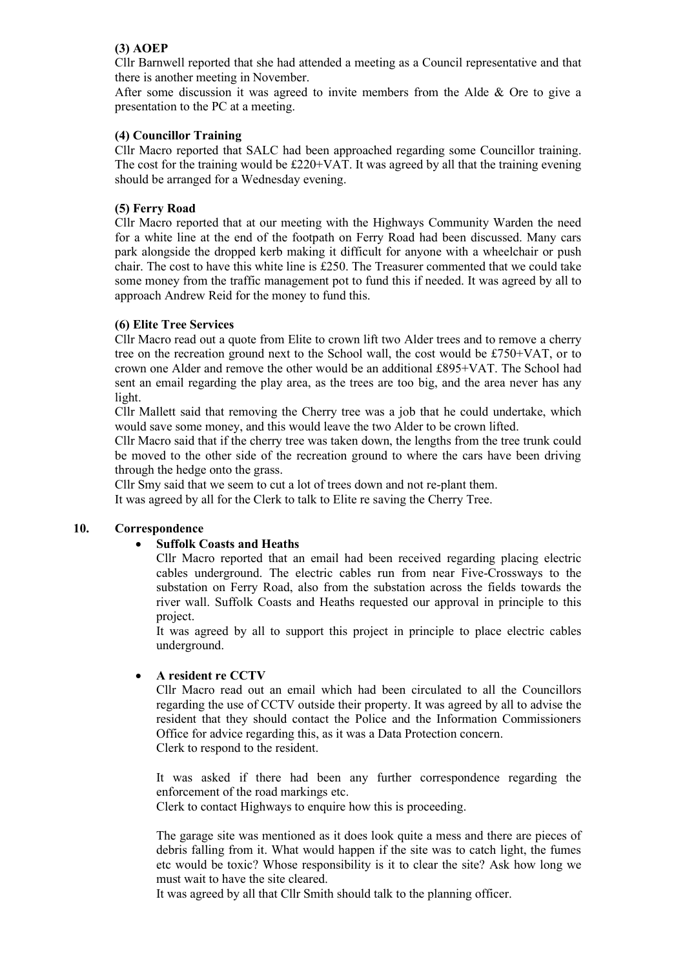### **(3) AOEP**

Cllr Barnwell reported that she had attended a meeting as a Council representative and that there is another meeting in November.

After some discussion it was agreed to invite members from the Alde & Ore to give a presentation to the PC at a meeting.

### **(4) Councillor Training**

Cllr Macro reported that SALC had been approached regarding some Councillor training. The cost for the training would be  $£220+VAT$ . It was agreed by all that the training evening should be arranged for a Wednesday evening.

### **(5) Ferry Road**

Cllr Macro reported that at our meeting with the Highways Community Warden the need for a white line at the end of the footpath on Ferry Road had been discussed. Many cars park alongside the dropped kerb making it difficult for anyone with a wheelchair or push chair. The cost to have this white line is £250. The Treasurer commented that we could take some money from the traffic management pot to fund this if needed. It was agreed by all to approach Andrew Reid for the money to fund this.

### **(6) Elite Tree Services**

Cllr Macro read out a quote from Elite to crown lift two Alder trees and to remove a cherry tree on the recreation ground next to the School wall, the cost would be £750+VAT, or to crown one Alder and remove the other would be an additional £895+VAT. The School had sent an email regarding the play area, as the trees are too big, and the area never has any light.

Cllr Mallett said that removing the Cherry tree was a job that he could undertake, which would save some money, and this would leave the two Alder to be crown lifted.

Cllr Macro said that if the cherry tree was taken down, the lengths from the tree trunk could be moved to the other side of the recreation ground to where the cars have been driving through the hedge onto the grass.

Cllr Smy said that we seem to cut a lot of trees down and not re-plant them. It was agreed by all for the Clerk to talk to Elite re saving the Cherry Tree.

#### **10. Correspondence**

### • **Suffolk Coasts and Heaths**

Cllr Macro reported that an email had been received regarding placing electric cables underground. The electric cables run from near Five-Crossways to the substation on Ferry Road, also from the substation across the fields towards the river wall. Suffolk Coasts and Heaths requested our approval in principle to this project.

It was agreed by all to support this project in principle to place electric cables underground.

#### • **A resident re CCTV**

Cllr Macro read out an email which had been circulated to all the Councillors regarding the use of CCTV outside their property. It was agreed by all to advise the resident that they should contact the Police and the Information Commissioners Office for advice regarding this, as it was a Data Protection concern. Clerk to respond to the resident.

It was asked if there had been any further correspondence regarding the enforcement of the road markings etc.

Clerk to contact Highways to enquire how this is proceeding.

The garage site was mentioned as it does look quite a mess and there are pieces of debris falling from it. What would happen if the site was to catch light, the fumes etc would be toxic? Whose responsibility is it to clear the site? Ask how long we must wait to have the site cleared.

It was agreed by all that Cllr Smith should talk to the planning officer.